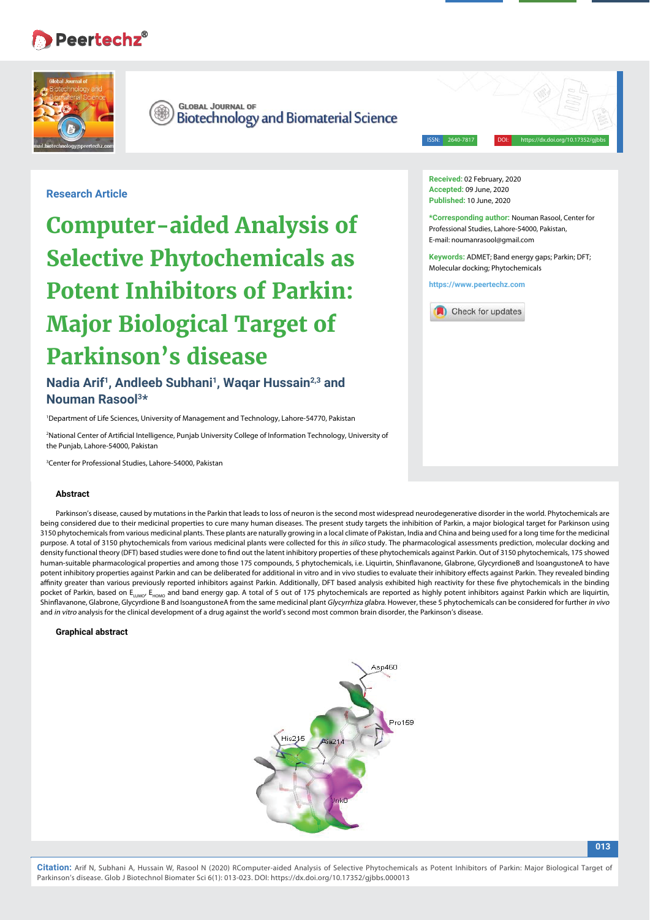# **Peertechz®**



**GLOBAL JOURNAL OF Biotechnology and Biomaterial Science** 

ISSN: 2640-7817 DOI: https://dx.doi.org/10.17352/gjbbs

**Research Article**

**Computer-aided Analysis of Selective Phytochemicals as Potent Inhibitors of Parkin: Major Biological Target of Parkinson's disease**

Nadia Arif<sup>1</sup>, Andleeb Subhani<sup>1</sup>, Wagar Hussain<sup>2,3</sup> and **Nouman Rasool3\*** 

1 Department of Life Sciences, University of Management and Technology, Lahore-54770, Pakistan

<sup>2</sup>National Center of Artificial Intelligence, Punjab University College of Information Technology, University of the Punjab, Lahore-54000, Pakistan

3 Center for Professional Studies, Lahore-54000, Pakistan

#### **Abstract**

Parkinson's disease, caused by mutations in the Parkin that leads to loss of neuron is the second most widespread neurodegenerative disorder in the world. Phytochemicals are being considered due to their medicinal properties to cure many human diseases. The present study targets the inhibition of Parkin, a major biological target for Parkinson using 3150 phytochemicals from various medicinal plants. These plants are naturally growing in a local climate of Pakistan, India and China and being used for a long time for the medicinal purpose. A total of 3150 phytochemicals from various medicinal plants were collected for this in silico study. The pharmacological assessments prediction, molecular docking and density functional theory (DFT) based studies were done to find out the latent inhibitory properties of these phytochemicals against Parkin. Out of 3150 phytochemicals, 175 showed human-suitable pharmacological properties and among those 175 compounds, 5 phytochemicals, i.e. Liquirtin, Shinflavanone, Glabrone, GlycyrdioneB and IsoangustoneA to have potent inhibitory properties against Parkin and can be deliberated for additional in vitro and in vivo studies to evaluate their inhibitory effects against Parkin. They revealed binding affinity greater than various previously reported inhibitors against Parkin. Additionally, DFT based analysis exhibited high reactivity for these five phytochemicals in the binding pocket of Parkin, based on E<sub>LUMO</sub>, E<sub>HOMO</sub> and band energy gap. A total of 5 out of 175 phytochemicals are reported as highly potent inhibitors against Parkin which are liquirtin, Shinflavanone, Glabrone, Glycyrdione B and IsoangustoneA from the same medicinal plant *Glycyrrhiza glabra*. However, these 5 phytochemicals can be considered for further *in vivo* and in vitro analysis for the clinical development of a drug against the world's second most common brain disorder, the Parkinson's disease.

#### **Graphical abstract**



**Received:** 02 February, 2020 **Accepted:** 09 June, 2020 **Published:** 10 June, 2020

**\*Corresponding author:** Nouman Rasool, Center for Professional Studies, Lahore-54000, Pakistan, E-mail: noumanrasool@gmail.com

**Keywords:** ADMET; Band energy gaps; Parkin; DFT; Molecular docking; Phytochemicals

**https://www.peertechz.com**

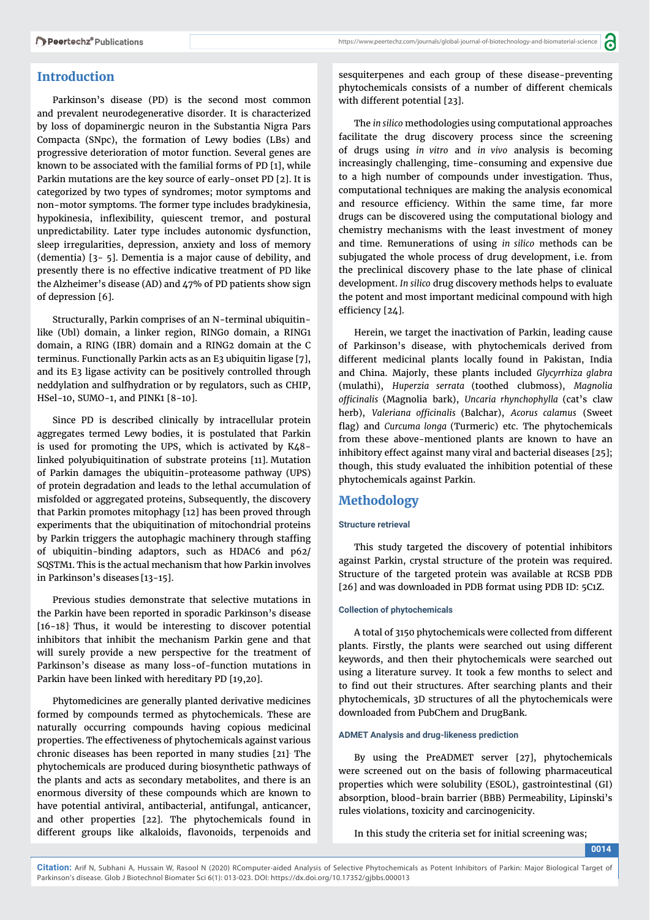a

# **Introduction**

Parkinson's disease (PD) is the second most common and prevalent neurodegenerative disorder. It is characterized by loss of dopaminergic neuron in the Substantia Nigra Pars Compacta (SNpc), the formation of Lewy bodies (LBs) and progressive deterioration of motor function. Several genes are known to be associated with the familial forms of PD [1], while Parkin mutations are the key source of early-onset PD [2]. It is categorized by two types of syndromes; motor symptoms and non-motor symptoms. The former type includes bradykinesia, hypokinesia, inflexibility, quiescent tremor, and postural unpredictability. Later type includes autonomic dysfunction, sleep irregularities, depression, anxiety and loss of memory (dementia) [3- 5]. Dementia is a major cause of debility, and presently there is no effective indicative treatment of PD like the Alzheimer's disease (AD) and 47% of PD patients show sign of depression [6].

Structurally, Parkin comprises of an N-terminal ubiquitinlike (Ubl) domain, a linker region, RING0 domain, a RING1 domain, a RING (IBR) domain and a RING2 domain at the C terminus. Functionally Parkin acts as an E3 ubiquitin ligase [7], and its E3 ligase activity can be positively controlled through neddylation and sulfhydration or by regulators, such as CHIP, HSel-10, SUMO-1, and PINK1 [8-10].

Since PD is described clinically by intracellular protein aggregates termed Lewy bodies, it is postulated that Parkin is used for promoting the UPS, which is activated by K48 linked polyubiquitination of substrate proteins [11]. Mutation of Parkin damages the ubiquitin-proteasome pathway (UPS) of protein degradation and leads to the lethal accumulation of misfolded or aggregated proteins, Subsequently, the discovery that Parkin promotes mitophagy [12] has been proved through experiments that the ubiquitination of mitochondrial proteins by Parkin triggers the autophagic machinery through staffing of ubiquitin-binding adaptors, such as HDAC6 and p62/ SQSTM1. This is the actual mechanism that how Parkin involves in Parkinson's diseases [13-15].

Previous studies demonstrate that selective mutations in the Parkin have been reported in sporadic Parkinson's disease [16-18]. Thus, it would be interesting to discover potential inhibitors that inhibit the mechanism Parkin gene and that will surely provide a new perspective for the treatment of Parkinson's disease as many loss-of-function mutations in Parkin have been linked with hereditary PD [19,20].

Phytomedicines are generally planted derivative medicines formed by compounds termed as phytochemicals. These are naturally occurring compounds having copious medicinal properties. The effectiveness of phytochemicals against various chronic diseases has been reported in many studies [21]. The phytochemicals are produced during biosynthetic pathways of the plants and acts as secondary metabolites, and there is an enormous diversity of these compounds which are known to have potential antiviral, antibacterial, antifungal, anticancer, and other properties [22]. The phytochemicals found in different groups like alkaloids, flavonoids, terpenoids and

sesquiterpenes and each group of these disease-preventing phytochemicals consists of a number of different chemicals with different potential [23].

The *in silico* methodologies using computational approaches facilitate the drug discovery process since the screening of drugs using *in vitro* and *in vivo* analysis is becoming increasingly challenging, time-consuming and expensive due to a high number of compounds under investigation. Thus, computational techniques are making the analysis economical and resource efficiency. Within the same time, far more drugs can be discovered using the computational biology and chemistry mechanisms with the least investment of money and time. Remunerations of using *in silico* methods can be subjugated the whole process of drug development, i.e. from the preclinical discovery phase to the late phase of clinical development. *In silico* drug discovery methods helps to evaluate the potent and most important medicinal compound with high efficiency [24].

Herein, we target the inactivation of Parkin, leading cause of Parkinson's disease, with phytochemicals derived from different medicinal plants locally found in Pakistan, India and China. Majorly, these plants included *Glycyrrhiza glabra* (mulathi), *Huperzia serrata* (toothed clubmoss), *Magnolia offi cinalis* (Magnolia bark), *Uncaria rhynchophylla* (cat's claw herb), *Valeriana offi cinalis* (Balchar), *Acorus calamus* (Sweet flag) and *Curcuma longa* (Turmeric) etc. The phytochemicals from these above-mentioned plants are known to have an inhibitory effect against many viral and bacterial diseases [25]; though, this study evaluated the inhibition potential of these phytochemicals against Parkin.

# **Methodology**

## **Structure retrieval**

This study targeted the discovery of potential inhibitors against Parkin, crystal structure of the protein was required. Structure of the targeted protein was available at RCSB PDB [26] and was downloaded in PDB format using PDB ID: 5C1Z.

#### **Collection of phytochemicals**

A total of 3150 phytochemicals were collected from different plants. Firstly, the plants were searched out using different keywords, and then their phytochemicals were searched out using a literature survey. It took a few months to select and to find out their structures. After searching plants and their phytochemicals, 3D structures of all the phytochemicals were downloaded from PubChem and DrugBank.

#### **ADMET Analysis and drug-likeness prediction**

By using the PreADMET server [27], phytochemicals were screened out on the basis of following pharmaceutical properties which were solubility (ESOL), gastrointestinal (GI) absorption, blood-brain barrier (BBB) Permeability, Lipinski's rules violations, toxicity and carcinogenicity.

In this study the criteria set for initial screening was;

**0014**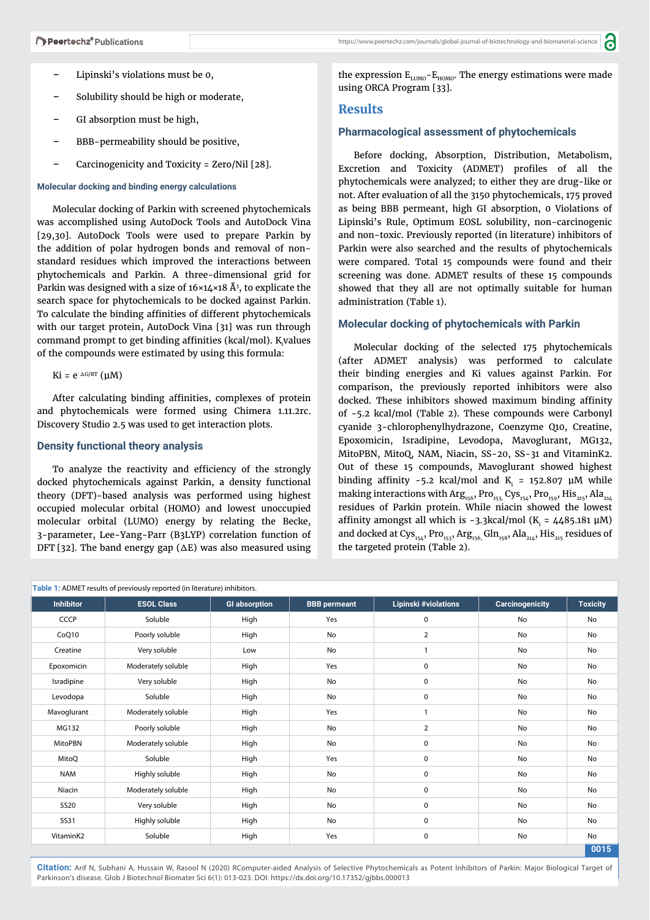- − Lipinski's violations must be 0,
- − Solubility should be high or moderate,
- GI absorption must be high,
- BBB-permeability should be positive,
- − Carcinogenicity and Toxicity = Zero/Nil [28].

#### **Molecular docking and binding energy calculations**

Molecular docking of Parkin with screened phytochemicals was accomplished using AutoDock Tools and AutoDock Vina [29,30]. AutoDock Tools were used to prepare Parkin by the addition of polar hydrogen bonds and removal of nonstandard residues which improved the interactions between phytochemicals and Parkin. A three-dimensional grid for Parkin was designed with a size of 16×14×18 Å3 , to explicate the search space for phytochemicals to be docked against Parkin. To calculate the binding affinities of different phytochemicals with our target protein, AutoDock Vina [31] was run through command prompt to get binding affinities (kcal/mol).  $\rm K_i$ values of the compounds were estimated by using this formula:

Ki = e  $ΔG/RT$  (μM)

After calculating binding affinities, complexes of protein and phytochemicals were formed using Chimera 1.11.2rc. Discovery Studio 2.5 was used to get interaction plots.

#### **Density functional theory analysis**

To analyze the reactivity and efficiency of the strongly docked phytochemicals against Parkin, a density functional theory (DFT)-based analysis was performed using highest occupied molecular orbital (HOMO) and lowest unoccupied molecular orbital (LUMO) energy by relating the Becke, 3-parameter, Lee-Yang-Parr (B3LYP) correlation function of DFT [32]. The band energy gap ( $\Delta E$ ) was also measured using the expression  $E_{LUMO}-E_{HOMO}$ . The energy estimations were made using ORCA Program [33].

a

## **Results**

# **Pharmacological assessment of phytochemicals**

Before docking, Absorption, Distribution, Metabolism, Excretion and Toxicity (ADMET) profiles of all the phytochemicals were analyzed; to either they are drug-like or not. After evaluation of all the 3150 phytochemicals, 175 proved as being BBB permeant, high GI absorption, 0 Violations of Lipinski's Rule, Optimum EOSL solubility, non-carcinogenic and non-toxic. Previously reported (in literature) inhibitors of Parkin were also searched and the results of phytochemicals were compared. Total 15 compounds were found and their screening was done. ADMET results of these 15 compounds showed that they all are not optimally suitable for human administration (Table 1).

#### **Molecular docking of phytochemicals with Parkin**

Molecular docking of the selected 175 phytochemicals (after ADMET analysis) was performed to calculate their binding energies and Ki values against Parkin. For comparison, the previously reported inhibitors were also docked. These inhibitors showed maximum binding affinity of -5.2 kcal/mol (Table 2). These compounds were Carbonyl cyanide 3-chlorophenylhydrazone, Coenzyme Q10, Creatine, Epoxomicin, Isradipine, Levodopa, Mavoglurant, MG132, MitoPBN, MitoQ, NAM, Niacin, SS-20, SS-31 and VitaminK2. Out of these 15 compounds, Mavoglurant showed highest binding affinity -5.2 kcal/mol and  $K<sub>i</sub>$  = 152.807  $\mu$ M while making interactions with  $Arg_{156}$ , Pro<sub>153</sub>, Cys<sub>154</sub>, Pro<sub>159</sub>, His<sub>215</sub>, Ala<sub>214</sub> residues of Parkin protein. While niacin showed the lowest affinity amongst all which is -3.3kcal/mol (K $_{\rm i}$  = 4485.181  $\mu$ M) and docked at Cys<sub>154</sub>, Pro<sub>153</sub>, Arg<sub>156,</sub> Gln<sub>158</sub>, Ala<sub>214</sub>, His<sub>215</sub> residues of the targeted protein (Table 2).

| Table 1: ADMET results of previously reported (in literature) inhibitors. |                    |                      |                     |                             |                        |                 |
|---------------------------------------------------------------------------|--------------------|----------------------|---------------------|-----------------------------|------------------------|-----------------|
| <b>Inhibitor</b>                                                          | <b>ESOL Class</b>  | <b>GI absorption</b> | <b>BBB</b> permeant | <b>Lipinski #violations</b> | <b>Carcinogenicity</b> | <b>Toxicity</b> |
| CCCP                                                                      | Soluble            | High                 | Yes                 | 0                           | No                     | No              |
| CoQ10                                                                     | Poorly soluble     | High                 | <b>No</b>           | $\overline{2}$              | No                     | No              |
| Creatine                                                                  | Very soluble       | Low                  | No                  | $\mathbf{1}$                | No                     | No              |
| Epoxomicin                                                                | Moderately soluble | High                 | Yes                 | $\pmb{0}$                   | No                     | No              |
| Isradipine                                                                | Very soluble       | High                 | No                  | $\mathbf 0$                 | No                     | No              |
| Levodopa                                                                  | Soluble            | High                 | No                  | $\pmb{0}$                   | No                     | No              |
| Mavoglurant                                                               | Moderately soluble | High                 | Yes                 | $\mathbf{1}$                | No                     | No              |
| MG132                                                                     | Poorly soluble     | High                 | No                  | $\overline{2}$              | No                     | No              |
| <b>MitoPBN</b>                                                            | Moderately soluble | High                 | No                  | $\mathbf 0$                 | No                     | No              |
| MitoQ                                                                     | Soluble            | High                 | Yes                 | 0                           | <b>No</b>              | No              |
| <b>NAM</b>                                                                | Highly soluble     | High                 | No                  | $\mathbf 0$                 | No                     | No              |
| Niacin                                                                    | Moderately soluble | High                 | No                  | $\mathbf 0$                 | No                     | No              |
| <b>SS20</b>                                                               | Very soluble       | High                 | No                  | 0                           | No                     | No              |
| <b>SS31</b>                                                               | Highly soluble     | High                 | No                  | 0                           | No                     | No              |
| VitaminK2                                                                 | Soluble            | High                 | Yes                 | $\mathbf 0$                 | No                     | No              |
|                                                                           |                    |                      |                     |                             |                        | 0015            |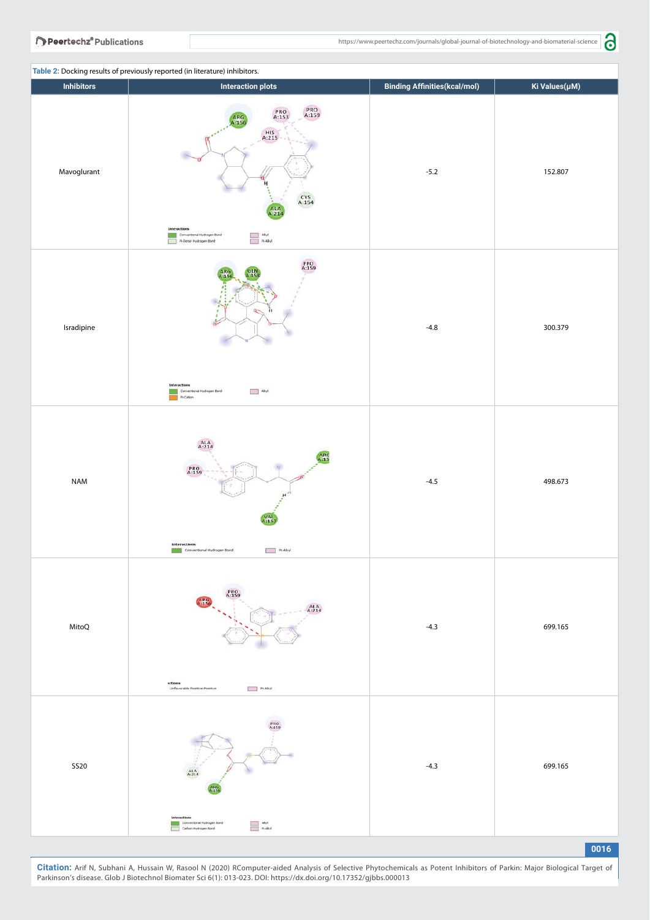| <b>Inhibitors</b> | Table 2: Docking results of previously reported (in literature) inhibitors.<br><b>Interaction plots</b>                                                                                           | <b>Binding Affinities (kcal/mol)</b> | Ki Values(µM) |
|-------------------|---------------------------------------------------------------------------------------------------------------------------------------------------------------------------------------------------|--------------------------------------|---------------|
| Mavoglurant       | PRO<br>A:159<br>PRO<br>A:153<br>ARG<br>A:156<br>A:215<br>н<br>$CYS$<br>A:154<br>ALA<br>A:214<br><b>Interactions</b><br>Conventional Hydrogen Bond<br>- Pi-Donor Hydrogen Bond                     | $-5.2$                               | 152.807       |
| Isradipine        | <b>PRO</b><br>A:159<br>Interactions<br>$\Box$ AByl<br>Conventional Hydrogen Bond<br><b>Ball</b> Pi-Cation                                                                                         | $-4.8$                               | 300.379       |
| <b>NAM</b>        | $A1A$<br>$A:214$<br>ARC<br>-15<br><b>PRO</b><br>A:159<br>$X_{.157}^{\text{VAL}}$<br><b>Interactions</b><br>Pi-Alkyl<br>Conventional Hydrogen Bond                                                 | $-4.5$                               | 498.673       |
| MitoQ             | <b>ARG</b><br>4:154<br>$A1A$<br>$A:214$<br>ections<br>Unfavorable Positive Positive<br><b>Probab</b>                                                                                              | $-4.3$                               | 699.165       |
| <b>SS20</b>       | <b>PRO</b><br>A:159<br>A:AA<br>Interactions<br>$\begin{tabular}{ c c } \hline & Aspl \\ \hline & \textbf{P} & Aspl \\ \hline \end{tabular}$<br>Conventional Hydrogen Bond<br>Carbon Hydrogen Bond | $-4.3$                               | 699.165       |

**0016**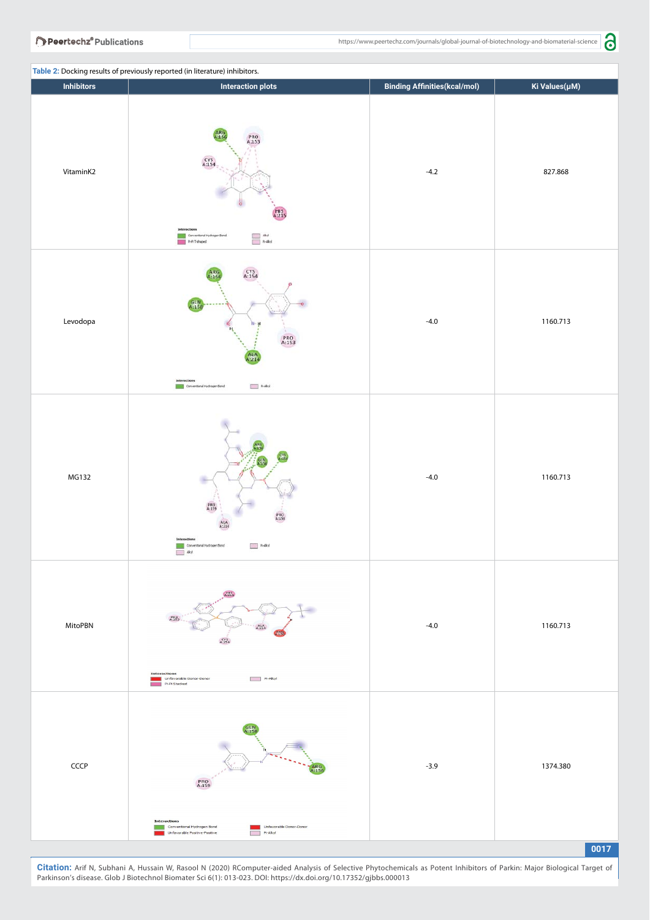

|                   | Table 2: Docking results of previously reported (in literature) inhibitors. |                   |  |
|-------------------|-----------------------------------------------------------------------------|-------------------|--|
| <b>Inhibitors</b> |                                                                             | Interaction plots |  |
|                   |                                                                             |                   |  |

| <b>Inhibitors</b> | <b>Interaction plots</b>                                                                                                                                                                                                                                                                                                    | <b>Binding Affinities (kcal/mol)</b> | Ki Values(µM) |
|-------------------|-----------------------------------------------------------------------------------------------------------------------------------------------------------------------------------------------------------------------------------------------------------------------------------------------------------------------------|--------------------------------------|---------------|
| VitaminK2         | ARG<br>A.156<br><b>PRO</b><br>A:153<br>$\frac{CYS}{A:154}$<br><b>HIS</b><br>A:215<br>Interactio<br>$\begin{tabular}{ c c } \hline & \text{Abpl} \\ \hline \end{tabular} \vspace{0.5em} \begin{tabular}{ c c } \hline \text{Abpl} \\ \hline \end{tabular} \end{tabular}$<br>Conventional Hydrogen Bond<br><b>Infinitened</b> | $-4.2$                               | 827.868       |
| Levodopa          | CYS<br>A:154<br>GLN<br>A:158<br>$PRO$<br>A:153<br>Interactions<br>Conventional Hydrogen Bond<br>$A \rightarrow A$                                                                                                                                                                                                           | $-4.0$                               | 1160.713      |
| MG132             | PRO<br>A:159<br>PRO<br>A:153<br>ALA A:214<br>Interaction<br>$P-Aby$<br>Conventional Hydrogen Bond<br>Alkyl                                                                                                                                                                                                                  | $-4.0$                               | 1160.713      |
| MitoPBN           | A215<br>A15<br>A24<br>$\frac{CY5}{A:154}$<br><b>Interactions</b><br>Unfavorable Donor-Donor<br>$P(-A)$<br>Pi-Pi Stacked                                                                                                                                                                                                     | $-4.0$                               | 1160.713      |
| CCCP              | PRO<br>A:159<br><b>Interactions</b><br>Conventional Hydrogen Bond<br>Unfavorable Donor-Donor<br>÷,<br>Unfavorable Positive-Positive<br>Pi-Alkyl                                                                                                                                                                             | $-3.9$                               | 1374.380      |
|                   |                                                                                                                                                                                                                                                                                                                             |                                      | 0017          |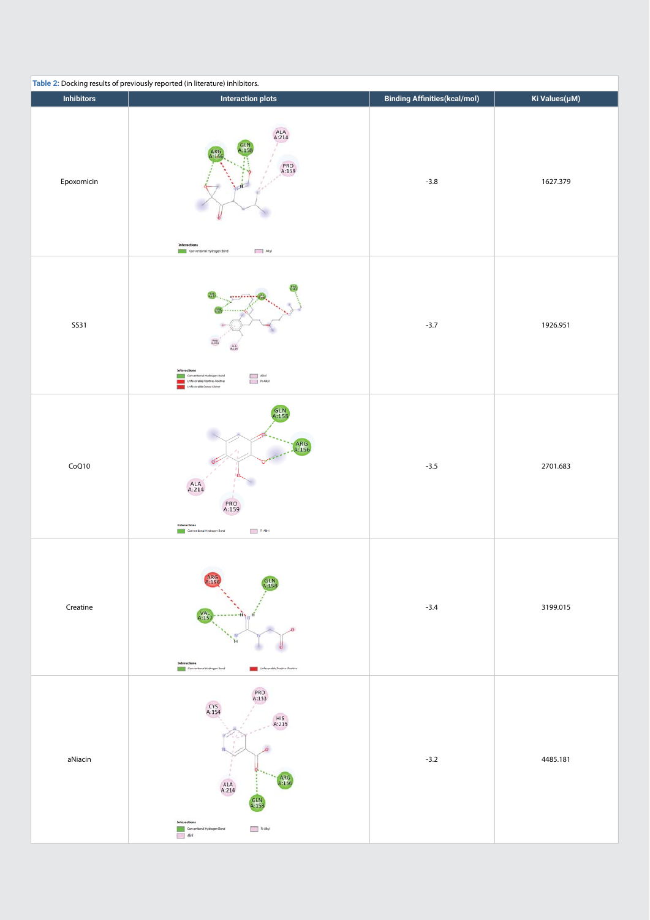| Table 2: Docking results of previously reported (in literature) inhibitors. |                                                                                                                                                                                                 |                                      |               |  |  |  |
|-----------------------------------------------------------------------------|-------------------------------------------------------------------------------------------------------------------------------------------------------------------------------------------------|--------------------------------------|---------------|--|--|--|
| <b>Inhibitors</b>                                                           | <b>Interaction plots</b>                                                                                                                                                                        | <b>Binding Affinities (kcal/mol)</b> | Ki Values(µM) |  |  |  |
| Epoxomicin                                                                  | ALA A:214<br>ARG<br>PRO<br>A:159<br>Interaction<br>Akyl<br>Conventional Hydrogen Bond                                                                                                           | $-3.8$                               | 1627.379      |  |  |  |
| <b>SS31</b>                                                                 | 1.1.1.1.1<br>Intera<br>$\begin{tabular}{ c c } \hline & skyl \\ \hline & P+Abyl \\ \hline \end{tabular}$<br>Conventional Hydrogen Bond<br>nfavorable Posttve Posttve<br>Unfavorable Donor Conor | $-3.7$                               | 1926.951      |  |  |  |
| CoQ10                                                                       | GLN<br>ARG<br>-156<br>$ALA$<br>A:214<br>PRO<br>A:159<br>Interactions<br>Pi-Alcyl<br>Conventional Hydrogen Bond                                                                                  | $-3.5$                               | 2701.683      |  |  |  |
| Creatine                                                                    | ARG<br>A:15<br><b>VAL</b><br>A:15<br><b>HN</b><br>'n<br>Conventional Hydrogen Bond<br>Unfavorable Positive Positive                                                                             | $-3.4$                               | 3199.015      |  |  |  |
| aNiacin                                                                     | PRO<br>A:153<br>$CYS$<br>A:154<br>$HIS$<br>A:215<br>ARG<br>A:156<br>ALA A:214<br>GLN<br>A:158<br>Interactions<br>Conventional Hydrogen Bond<br>$\boxed{\phantom{1}}$ Pr-Alkyl<br>$\Box$ Akyl    | $-3.2$                               | 4485.181      |  |  |  |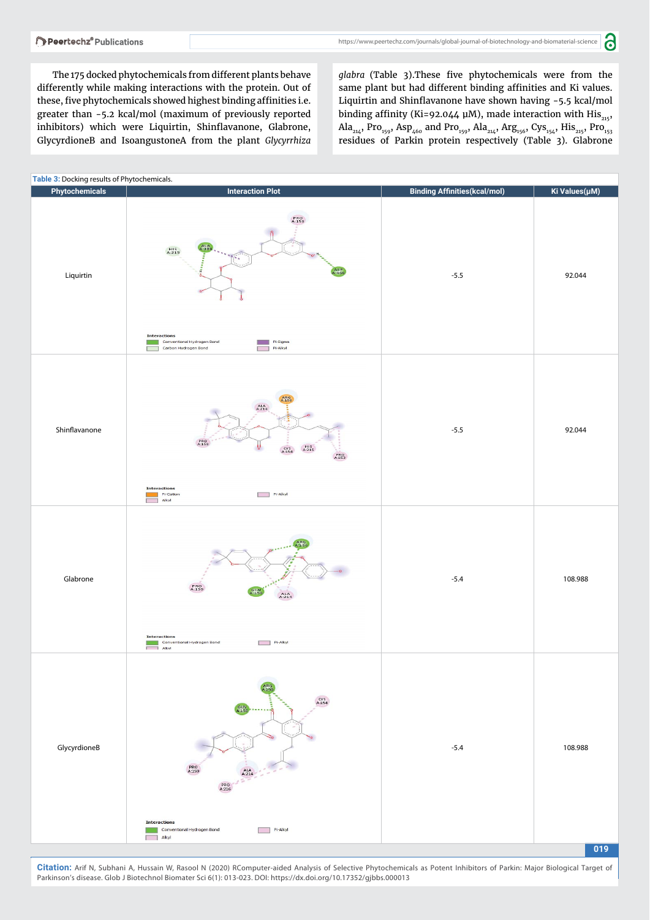a

The 175 docked phytochemicals from different plants behave differently while making interactions with the protein. Out of these, five phytochemicals showed highest binding affinities i.e. greater than -5.2 kcal/mol (maximum of previously reported inhibitors) which were Liquirtin, Shinflavanone, Glabrone, GlycyrdioneB and IsoangustoneA from the plant *Glycyrrhiza* 

glabra (Table 3). These five phytochemicals were from the same plant but had different binding affinities and Ki values. Liquirtin and Shinflavanone have shown having  $-5.5$  kcal/mol binding affinity (Ki=92.044 µM), made interaction with His<sub>215</sub>, Ala<sub>214</sub>, Pro<sub>159</sub>, Asp<sub>460</sub> and Pro<sub>159</sub>, Ala<sub>214</sub>, Arg<sub>156</sub>, Cys<sub>154</sub>, His<sub>215</sub>, Pro<sub>153</sub> residues of Parkin protein respectively (Table 3). Glabrone

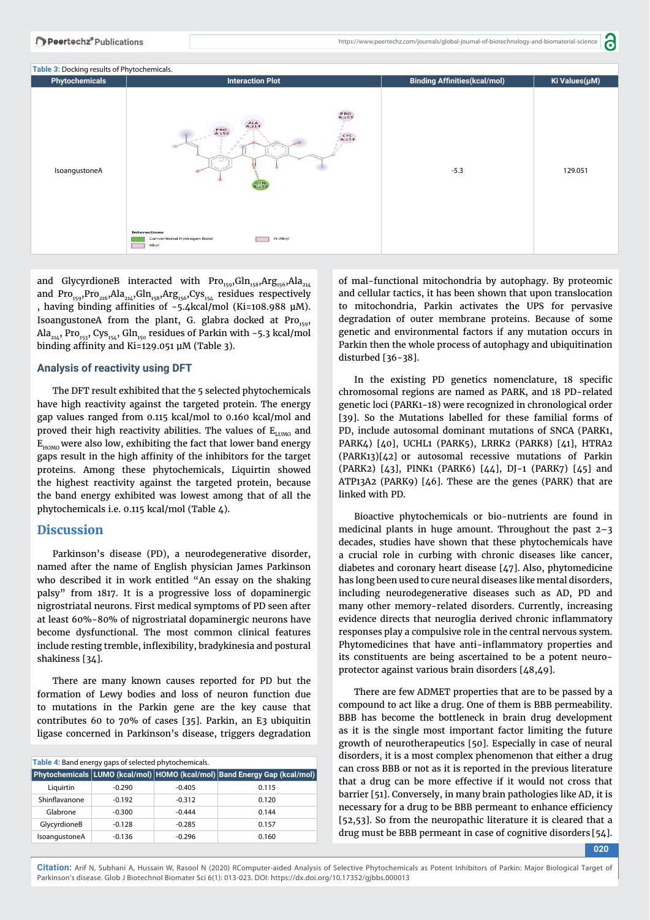а



and GlycyrdioneB interacted with  $Pro_{159}Gln_{158}Arg_{156}Ada_{214}$ and Pro<sub>159</sub>,Pro<sub>216</sub>,Ala<sub>214</sub>,Gln<sub>158</sub>,Arg<sub>156</sub>,Cys<sub>154</sub> residues respectively , having binding affinities of -5.4kcal/mol (Ki=108.988 μM). IsoangustoneA from the plant, G. glabra docked at  $Pro_{150}$ , Ala<sub>214</sub>, Pro<sub>153</sub>, Cys<sub>154</sub>, Gln<sub>150</sub> residues of Parkin with -5.3 kcal/mol binding affinity and Ki=129.051  $\mu$ M (Table 3).

# **Analysis of reactivity using DFT**

The DFT result exhibited that the 5 selected phytochemicals have high reactivity against the targeted protein. The energy gap values ranged from 0.115 kcal/mol to 0.160 kcal/mol and proved their high reactivity abilities. The values of  $E_{LUMO}$  and  $E_{HOMO}$  were also low, exhibiting the fact that lower band energy gaps result in the high affinity of the inhibitors for the target proteins. Among these phytochemicals, Liquirtin showed the highest reactivity against the targeted protein, because the band energy exhibited was lowest among that of all the phytochemicals i.e. 0.115 kcal/mol (Table 4).

# **Discussion**

Parkinson's disease (PD), a neurodegenerative disorder, named after the name of English physician James Parkinson who described it in work entitled "An essay on the shaking palsy" from 1817. It is a progressive loss of dopaminergic nigrostriatal neurons. First medical symptoms of PD seen after at least 60%-80% of nigrostriatal dopaminergic neurons have become dysfunctional. The most common clinical features include resting tremble, inflexibility, bradykinesia and postural shakiness [34].

There are many known causes reported for PD but the formation of Lewy bodies and loss of neuron function due to mutations in the Parkin gene are the key cause that contributes 60 to 70% of cases [35]. Parkin, an E3 ubiquitin ligase concerned in Parkinson's disease, triggers degradation

| Table 4: Band energy gaps of selected phytochemicals. |          |          |                                                                           |  |
|-------------------------------------------------------|----------|----------|---------------------------------------------------------------------------|--|
|                                                       |          |          | Phytochemicals LUMO (kcal/mol) HOMO (kcal/mol) Band Energy Gap (kcal/mol) |  |
| Liquirtin                                             | $-0.290$ | $-0.405$ | 0.115                                                                     |  |
| Shinflavanone                                         | $-0.192$ | $-0.312$ | 0.120                                                                     |  |
| Glabrone                                              | $-0.300$ | $-0.444$ | 0.144                                                                     |  |
| GlycyrdioneB                                          | $-0.128$ | $-0.285$ | 0.157                                                                     |  |
| IsoangustoneA                                         | $-0.136$ | $-0.296$ | 0.160                                                                     |  |

of mal-functional mitochondria by autophagy. By proteomic and cellular tactics, it has been shown that upon translocation to mitochondria, Parkin activates the UPS for pervasive degradation of outer membrane proteins. Because of some genetic and environmental factors if any mutation occurs in Parkin then the whole process of autophagy and ubiquitination disturbed [36-38].

In the existing PD genetics nomenclature, 18 specific chromosomal regions are named as PARK, and 18 PD-related genetic loci (PARK1-18) were recognized in chronological order [39]. So the Mutations labelled for these familial forms of PD, include autosomal dominant mutations of SNCA (PARK1, PARK4) [40], UCHL1 (PARK5), LRRK2 (PARK8) [41], HTRA2 (PARK13)[42] or autosomal recessive mutations of Parkin (PARK2) [43], PINK1 (PARK6) [44], DJ-1 (PARK7) [45] and ATP13A2 (PARK9) [46]. These are the genes (PARK) that are linked with PD.

Bioactive phytochemicals or bio-nutrients are found in medicinal plants in huge amount. Throughout the past 2–3 decades, studies have shown that these phytochemicals have a crucial role in curbing with chronic diseases like cancer, diabetes and coronary heart disease [47]. Also, phytomedicine has long been used to cure neural diseases like mental disorders, including neurodegenerative diseases such as AD, PD and many other memory-related disorders. Currently, increasing evidence directs that neuroglia derived chronic inflammatory responses play a compulsive role in the central nervous system. Phytomedicines that have anti-inflammatory properties and its constituents are being ascertained to be a potent neuroprotector against various brain disorders [48,49].

There are few ADMET properties that are to be passed by a compound to act like a drug. One of them is BBB permeability. BBB has become the bottleneck in brain drug development as it is the single most important factor limiting the future growth of neurotherapeutics [50]. Especially in case of neural disorders, it is a most complex phenomenon that either a drug can cross BBB or not as it is reported in the previous literature that a drug can be more effective if it would not cross that barrier [51]. Conversely, in many brain pathologies like AD, it is necessary for a drug to be BBB permeant to enhance efficiency [52,53]. So from the neuropathic literature it is cleared that a drug must be BBB permeant in case of cognitive disorders [54].

**020**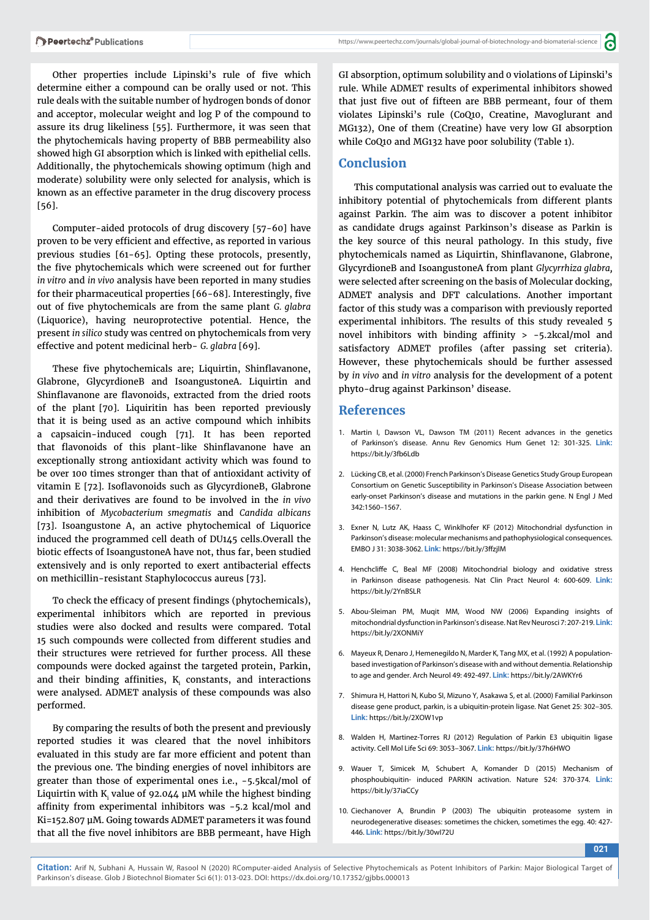Other properties include Lipinski's rule of five which determine either a compound can be orally used or not. This rule deals with the suitable number of hydrogen bonds of donor and acceptor, molecular weight and log P of the compound to assure its drug likeliness [55]. Furthermore, it was seen that the phytochemicals having property of BBB permeability also showed high GI absorption which is linked with epithelial cells. Additionally, the phytochemicals showing optimum (high and moderate) solubility were only selected for analysis, which is known as an effective parameter in the drug discovery process [56].

Computer-aided protocols of drug discovery [57-60] have proven to be very efficient and effective, as reported in various previous studies [61-65]. Opting these protocols, presently, the five phytochemicals which were screened out for further *in vitro* and *in vivo* analysis have been reported in many studies for their pharmaceutical properties [66-68]. Interestingly, five out of five phytochemicals are from the same plant *G. glabra* (Liquorice), having neuroprotective potential. Hence, the present *in silico* study was centred on phytochemicals from very effective and potent medicinal herb- *G. glabra* [69].

These five phytochemicals are; Liquirtin, Shinflavanone, Glabrone, GlycyrdioneB and IsoangustoneA. Liquirtin and Shinflavanone are flavonoids, extracted from the dried roots of the plant [70]. Liquiritin has been reported previously that it is being used as an active compound which inhibits a capsaicin-induced cough [71]. It has been reported that flavonoids of this plant-like Shinflavanone have an exceptionally strong antioxidant activity which was found to be over 100 times stronger than that of antioxidant activity of vitamin E [72]. Isoflavonoids such as GlycyrdioneB, Glabrone and their derivatives are found to be involved in the *in vivo* inhibition of *Mycobacterium smegmatis* and *Candida albicans* [73]. Isoangustone A, an active phytochemical of Liquorice induced the programmed cell death of DU145 cells.Overall the biotic effects of IsoangustoneA have not, thus far, been studied extensively and is only reported to exert antibacterial effects on methicillin-resistant Staphylococcus aureus [73].

To check the efficacy of present findings (phytochemicals), experimental inhibitors which are reported in previous studies were also docked and results were compared. Total 15 such compounds were collected from different studies and their structures were retrieved for further process. All these compounds were docked against the targeted protein, Parkin, and their binding affinities,  $K_i$  constants, and interactions were analysed. ADMET analysis of these compounds was also performed.

By comparing the results of both the present and previously reported studies it was cleared that the novel inhibitors evaluated in this study are far more efficient and potent than the previous one. The binding energies of novel inhibitors are greater than those of experimental ones i.e., -5.5kcal/mol of Liquirtin with  $\boldsymbol{\mathrm{K}_{\text{i}}}$  value of 92.044 µM while the highest binding affinity from experimental inhibitors was  $-5.2$  kcal/mol and Ki=152.807 μM. Going towards ADMET parameters it was found that all the five novel inhibitors are BBB permeant, have High

a

GI absorption, optimum solubility and 0 violations of Lipinski's rule. While ADMET results of experimental inhibitors showed that just five out of fifteen are BBB permeant, four of them violates Lipinski's rule (CoQ10, Creatine, Mavoglurant and MG132), One of them (Creatine) have very low GI absorption while CoQ10 and MG132 have poor solubility (Table 1).

# **Conclusion**

This computational analysis was carried out to evaluate the inhibitory potential of phytochemicals from different plants against Parkin. The aim was to discover a potent inhibitor as candidate drugs against Parkinson's disease as Parkin is the key source of this neural pathology. In this study, five phytochemicals named as Liquirtin, Shinflavanone, Glabrone, GlycyrdioneB and IsoangustoneA from plant *Glycyrrhiza glabra,* were selected after screening on the basis of Molecular docking, ADMET analysis and DFT calculations. Another important factor of this study was a comparison with previously reported experimental inhibitors. The results of this study revealed 5 novel inhibitors with binding affinity  $> -5.2$ kcal/mol and satisfactory ADMET profiles (after passing set criteria). However, these phytochemicals should be further assessed by *in vivo* and *in vitro* analysis for the development of a potent phyto-drug against Parkinson' disease.

## **References**

- 1. Martin I, Dawson VL, Dawson TM (2011) Recent advances in the genetics of Parkinson's disease. Annu Rev Genomics Hum Genet 12: 301-325. **Link:** https://bit.ly/3fb6Ldb
- 2. Lücking CB, et al. (2000) French Parkinson's Disease Genetics Study Group European Consortium on Genetic Susceptibility in Parkinson's Disease Association between early-onset Parkinson's disease and mutations in the parkin gene. N Engl J Med 342:1560–1567.
- 3. Exner N, Lutz AK, Haass C, Winklhofer KF (2012) Mitochondrial dysfunction in Parkinson's disease: molecular mechanisms and pathophysiological consequences. EMBO J 31: 3038-3062. **Link:** https://bit.ly/3ffzjlM
- 4. Henchcliffe C, Beal MF (2008) Mitochondrial biology and oxidative stress in Parkinson disease pathogenesis. Nat Clin Pract Neurol 4: 600-609. **Link:** https://bit.ly/2YnBSLR
- 5. Abou-Sleiman PM, Muqit MM, Wood NW (2006) Expanding insights of mitochondrial dysfunction in Parkinson's disease. Nat Rev Neurosci 7: 207-219. **Link:** https://bit.ly/2XONMiY
- 6. Mayeux R, Denaro J, Hemenegildo N, Marder K, Tang MX, et al. (1992) A populationbased investigation of Parkinson's disease with and without dementia. Relationship to age and gender. Arch Neurol 49: 492-497. **Link:** https://bit.ly/2AWKYr6
- 7. Shimura H, Hattori N, Kubo SI, Mizuno Y, Asakawa S, et al. (2000) Familial Parkinson disease gene product, parkin, is a ubiquitin-protein ligase. Nat Genet 25: 302–305. **Link:** https://bit.ly/2XOW1vp
- 8. Walden H, Martinez-Torres RJ (2012) Regulation of Parkin E3 ubiquitin ligase activity. Cell Mol Life Sci 69: 3053–3067. **Link:** https://bit.ly/37h6HWO
- 9. Wauer T, Simicek M, Schubert A, Komander D (2015) Mechanism of phosphoubiquitin- induced PARKIN activation. Nature 524: 370-374. **Link:** https://bit.ly/37iaCCy
- 10. Ciechanover A, Brundin P (2003) The ubiquitin proteasome system in neurodegenerative diseases: sometimes the chicken, sometimes the egg. 40: 427- 446. **Link:** https://bit.ly/30wI72U

**021**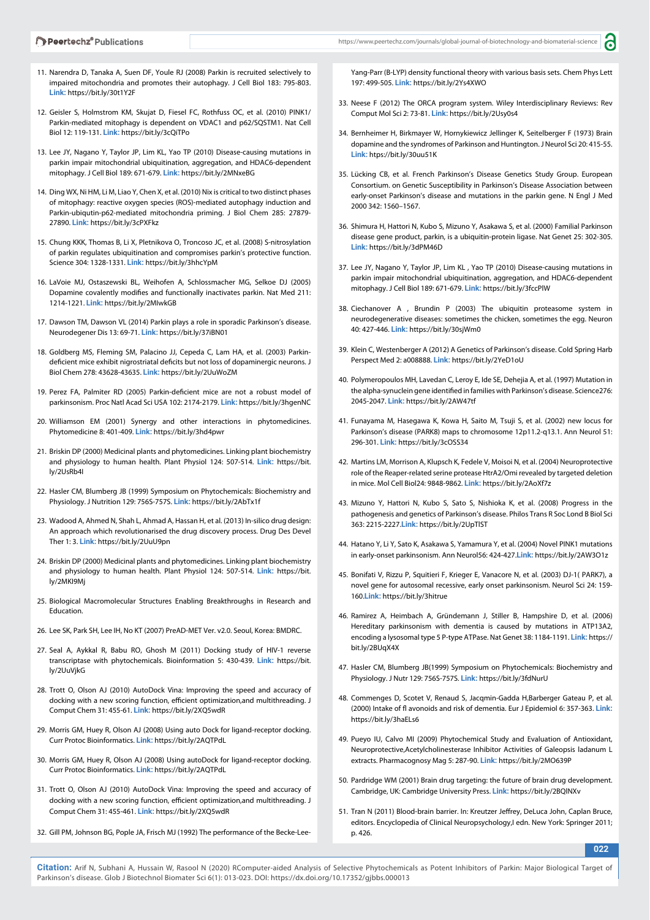- 11. Narendra D, Tanaka A, Suen DF, Youle RJ (2008) Parkin is recruited selectively to impaired mitochondria and promotes their autophagy. J Cell Biol 183: 795-803. **Link:** https://bit.ly/30t1Y2F
- 12. Geisler S, Holmstrom KM, Skujat D, Fiesel FC, Rothfuss OC, et al. (2010) PINK1/ Parkin-mediated mitophagy is dependent on VDAC1 and p62/SQSTM1. Nat Cell Biol 12: 119-131. **Link:** https://bit.ly/3cQiTPo
- 13. Lee JY, Nagano Y, Taylor JP, Lim KL, Yao TP (2010) Disease-causing mutations in parkin impair mitochondrial ubiquitination, aggregation, and HDAC6-dependent mitophagy. J Cell Biol 189: 671-679. **Link:** https://bit.ly/2MNxeBG
- 14. Ding WX, Ni HM, Li M, Liao Y, Chen X, et al. (2010) Nix is critical to two distinct phases of mitophagy: reactive oxygen species (ROS)-mediated autophagy induction and Parkin-ubiqutin-p62-mediated mitochondria priming. J Biol Chem 285: 27879- 27890. **Link:** https://bit.ly/3cPXFkz
- 15. Chung KKK, Thomas B, Li X, Pletnikova O, Troncoso JC, et al. (2008) S-nitrosylation of parkin regulates ubiquitination and compromises parkin's protective function. Science 304: 1328-1331. **Link:** https://bit.ly/3hhcYpM
- 16. LaVoie MJ, Ostaszewski BL, Weihofen A, Schlossmacher MG, Selkoe DJ (2005) Dopamine covalently modifies and functionally inactivates parkin. Nat Med 211: 1214-1221. **Link:** https://bit.ly/2MIwkGB
- 17. Dawson TM, Dawson VL (2014) Parkin plays a role in sporadic Parkinson's disease. Neurodegener Dis 13: 69-71. **Link:** https://bit.ly/37iBN01
- 18. Goldberg MS, Fleming SM, Palacino JJ, Cepeda C, Lam HA, et al. (2003) Parkindeficient mice exhibit nigrostriatal deficits but not loss of dopaminergic neurons. J Biol Chem 278: 43628-43635. **Link:** https://bit.ly/2UuWoZM
- 19. Perez FA, Palmiter RD (2005) Parkin-deficient mice are not a robust model of parkinsonism. Proc Natl Acad Sci USA 102: 2174-2179. **Link:** https://bit.ly/3hgenNC
- 20. Williamson EM (2001) Synergy and other interactions in phytomedicines. Phytomedicine 8: 401-409. **Link:** https://bit.ly/3hd4pwr
- 21. Briskin DP (2000) Medicinal plants and phytomedicines. Linking plant biochemistry and physiology to human health. Plant Physiol 124: 507-514. **Link:** https://bit. ly/2UsRb4I
- 22. Hasler CM, Blumberg JB (1999) Symposium on Phytochemicals: Biochemistry and Physiology. J Nutrition 129: 756S-757S. **Link:** https://bit.ly/2AbTx1f
- 23. Wadood A, Ahmed N, Shah L, Ahmad A, Hassan H, et al. (2013) In-silico drug design: An approach which revolutionarised the drug discovery process. Drug Des Devel Ther 1: 3. **Link:** https://bit.ly/2UuU9pn
- 24. Briskin DP (2000) Medicinal plants and phytomedicines. Linking plant biochemistry and physiology to human health. Plant Physiol 124: 507-514. **Link:** https://bit. ly/2MKI9Mj
- 25. Biological Macromolecular Structures Enabling Breakthroughs in Research and Education.
- 26. Lee SK, Park SH, Lee IH, No KT (2007) PreAD-MET Ver. v2.0. Seoul, Korea: BMDRC.
- 27. Seal A, Aykkal R, Babu RO, Ghosh M (2011) Docking study of HIV-1 reverse transcriptase with phytochemicals. Bioinformation 5: 430-439. **Link:** https://bit. ly/2UuVjkG
- 28. Trott O, Olson AJ (2010) AutoDock Vina: Improving the speed and accuracy of docking with a new scoring function, efficient optimization, and multithreading. J Comput Chem 31: 455-61. **Link:** https://bit.ly/2XQ5wdR
- 29. Morris GM, Huey R, Olson AJ (2008) Using auto Dock for ligand‐receptor docking. Curr Protoc Bioinformatics. **Link:** https://bit.ly/2AQTPdL
- 30. Morris GM, Huey R, Olson AJ (2008) Using autoDock for ligand‐receptor docking. Curr Protoc Bioinformatics. **Link:** https://bit.ly/2AQTPdL
- 31. Trott O, Olson AJ (2010) AutoDock Vina: Improving the speed and accuracy of docking with a new scoring function, efficient optimization, and multithreading. J Comput Chem 31: 455-461. **Link:** https://bit.ly/2XQ5wdR
- 32. Gill PM, Johnson BG, Pople JA, Frisch MJ (1992) The performance of the Becke-Lee-

Yang-Parr (B-LYP) density functional theory with various basis sets. Chem Phys Lett 197: 499-505. **Link:** https://bit.ly/2Ys4XWO

Ы

- 33. Neese F (2012) The ORCA program system. Wiley Interdisciplinary Reviews: Rev Comput Mol Sci 2: 73-81. **Link:** https://bit.ly/2Usy0s4
- 34. Bernheimer H, Birkmayer W, Hornykiewicz Jellinger K, Seitelberger F (1973) Brain dopamine and the syndromes of Parkinson and Huntington. J Neurol Sci 20: 415-55. **Link:** htps://bit.ly/30uu51K
- 35. Lücking CB, et al. French Parkinson's Disease Genetics Study Group. European Consortium. on Genetic Susceptibility in Parkinson's Disease Association between early-onset Parkinson's disease and mutations in the parkin gene. N Engl J Med 2000 342: 1560–1567.
- 36. Shimura H, Hattori N, Kubo S, Mizuno Y, Asakawa S, et al. (2000) Familial Parkinson disease gene product, parkin, is a ubiquitin-protein ligase. Nat Genet 25: 302-305. **Link:** https://bit.ly/3dPM46D
- 37. Lee JY, Nagano Y, Taylor JP, Lim KL , Yao TP (2010) Disease-causing mutations in parkin impair mitochondrial ubiquitination, aggregation, and HDAC6-dependent mitophagy. J Cell Biol 189: 671-679. **Link:** https://bit.ly/3fccPlW
- 38. Ciechanover A , Brundin P (2003) The ubiquitin proteasome system in neurodegenerative diseases: sometimes the chicken, sometimes the egg. Neuron 40: 427-446. **Link:** https://bit.ly/30sjWm0
- 39. Klein C, Westenberger A (2012) A Genetics of Parkinson's disease. Cold Spring Harb Perspect Med 2: a008888. **Link:** https://bit.ly/2YeD1oU
- 40. Polymeropoulos MH, Lavedan C, Leroy E, Ide SE, Dehejia A, et al. (1997) Mutation in the alpha-synuclein gene identified in families with Parkinson's disease. Science276: 2045-2047. **Link:** https://bit.ly/2AW47tf
- 41. Funayama M, Hasegawa K, Kowa H, Saito M, Tsuji S, et al. (2002) new locus for Parkinson's disease (PARK8) maps to chromosome 12p11.2-q13.1. Ann Neurol 51: 296-301. **Link:** https://bit.ly/3cOSS34
- 42. Martins LM, Morrison A, Klupsch K, Fedele V, Moisoi N, et al. (2004) Neuroprotective role of the Reaper-related serine protease HtrA2/Omi revealed by targeted deletion in mice. Mol Cell Biol24: 9848-9862. **Link:** https://bit.ly/2AoXf7z
- 43. Mizuno Y, Hattori N, Kubo S, Sato S, Nishioka K, et al. (2008) Progress in the pathogenesis and genetics of Parkinson's disease. Philos Trans R Soc Lond B Biol Sci 363: 2215-2227.**Link:** https://bit.ly/2UpTlST
- 44. Hatano Y, Li Y, Sato K, Asakawa S, Yamamura Y, et al. (2004) Novel PINK1 mutations in early-onset parkinsonism. Ann Neurol56: 424-427.**Link:** https://bit.ly/2AW3O1z
- 45. Bonifati V, Rizzu P, Squitieri F, Krieger E, Vanacore N, et al. (2003) DJ-1( PARK7), a novel gene for autosomal recessive, early onset parkinsonism. Neurol Sci 24: 159- 160.**Link:** https://bit.ly/3hitrue
- 46. Ramirez A, Heimbach A, Gründemann J, Stiller B, Hampshire D, et al. (2006) Hereditary parkinsonism with dementia is caused by mutations in ATP13A2, encoding a lysosomal type 5 P-type ATPase. Nat Genet 38: 1184-1191. **Link:** https:// bit.ly/2BUqX4X
- 47. Hasler CM, Blumberg JB(1999) Symposium on Phytochemicals: Biochemistry and Physiology. J Nutr 129: 756S-757S. **Link:** https://bit.ly/3fdNurU
- 48. Commenges D, Scotet V, Renaud S, Jacqmin-Gadda H,Barberger Gateau P, et al. (2000) Intake of fl avonoids and risk of dementia. Eur J Epidemiol 6: 357-363. **Link:** https://bit.ly/3haELs6
- 49. Pueyo IU, Calvo MI (2009) Phytochemical Study and Evaluation of Antioxidant, Neuroprotective,Acetylcholinesterase Inhibitor Activities of Galeopsis ladanum L extracts. Pharmacognosy Mag 5: 287-90. **Link:** https://bit.ly/2MO639P
- 50. Pardridge WM (2001) Brain drug targeting: the future of brain drug development. Cambridge, UK: Cambridge University Press. **Link:** https://bit.ly/2BQlNXv
- 51. Tran N (2011) Blood-brain barrier. In: Kreutzer Jeffrey, DeLuca John, Caplan Bruce, editors. Encyclopedia of Clinical Neuropsychology, I edn. New York: Springer 2011; p. 426.

**022**